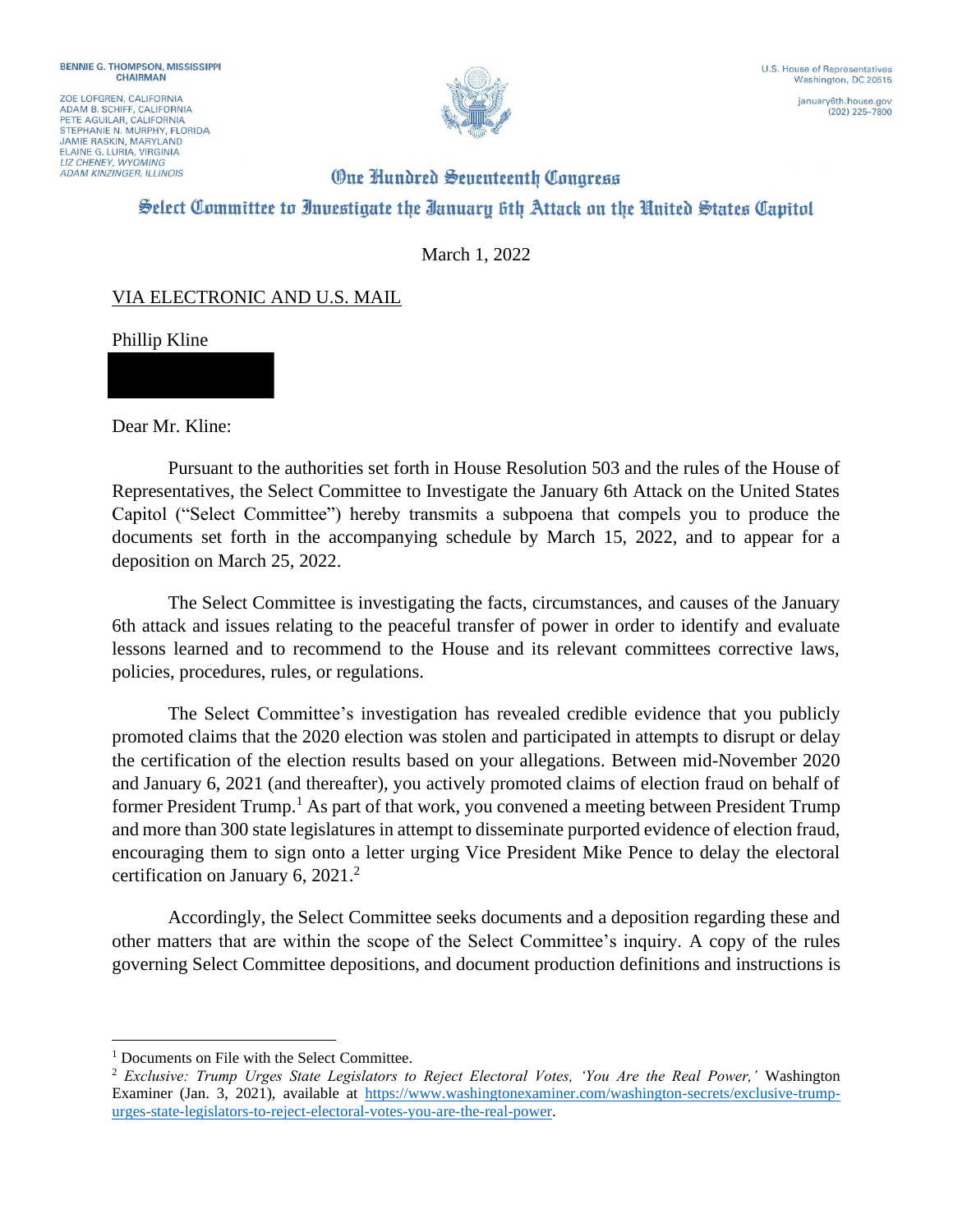ZOE LOFGREN, CALIFORNIA ADAM B. SCHIFF, CALIFORNIA<br>PETE AGUILAR, CALIFORNIA STEPHANIE N. MURPHY, FLORIDA **JAMIE RASKIN, MARYLAND** ELAINE G. LURIA, VIRGINIA **ADAM KINZINGER, ILLINOIS** 



(202) 225-7800

## **One Hundred Seventeenth Congress** Select Committee to Investigate the Ianuary 6th Attack on the United States Capitol

March 1, 2022

## VIA ELECTRONIC AND U.S. MAIL

Phillip Kline

Dear Mr. Kline:

Pursuant to the authorities set forth in House Resolution 503 and the rules of the House of Representatives, the Select Committee to Investigate the January 6th Attack on the United States Capitol ("Select Committee") hereby transmits a subpoena that compels you to produce the documents set forth in the accompanying schedule by March 15, 2022, and to appear for a deposition on March 25, 2022.

The Select Committee is investigating the facts, circumstances, and causes of the January 6th attack and issues relating to the peaceful transfer of power in order to identify and evaluate lessons learned and to recommend to the House and its relevant committees corrective laws, policies, procedures, rules, or regulations.

The Select Committee's investigation has revealed credible evidence that you publicly promoted claims that the 2020 election was stolen and participated in attempts to disrupt or delay the certification of the election results based on your allegations. Between mid-November 2020 and January 6, 2021 (and thereafter), you actively promoted claims of election fraud on behalf of former President Trump.<sup>1</sup> As part of that work, you convened a meeting between President Trump and more than 300 state legislatures in attempt to disseminate purported evidence of election fraud, encouraging them to sign onto a letter urging Vice President Mike Pence to delay the electoral certification on January 6, 2021. $^2$ 

Accordingly, the Select Committee seeks documents and a deposition regarding these and other matters that are within the scope of the Select Committee's inquiry. A copy of the rules governing Select Committee depositions, and document production definitions and instructions is

<sup>&</sup>lt;sup>1</sup> Documents on File with the Select Committee.

<sup>2</sup> *Exclusive: Trump Urges State Legislators to Reject Electoral Votes, 'You Are the Real Power,'* Washington Examiner (Jan. 3, 2021), available at https://www.washingtonexaminer.com/washington-secrets/exclusive-trumpurges-state-legislators-to-reject-electoral-votes-you-are-the-real-power.